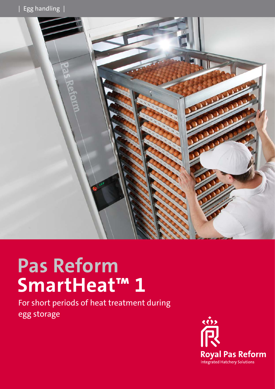

## **Pas Reform SmartHeat™ 1**

For short periods of heat treatment during egg storage